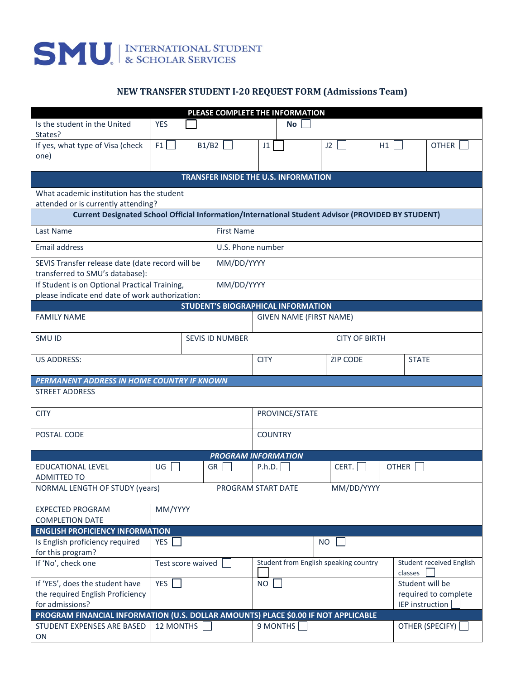## SMU INTERNATIONAL STUDENT

## **NEW TRANSFER STUDENT I-20 REQUEST FORM (Admissions Team)**

| PLEASE COMPLETE THE INFORMATION                                                                    |                                                                                              |       |                    |                                       |                                |           |              |                                            |                 |
|----------------------------------------------------------------------------------------------------|----------------------------------------------------------------------------------------------|-------|--------------------|---------------------------------------|--------------------------------|-----------|--------------|--------------------------------------------|-----------------|
| Is the student in the United<br>States?                                                            | <b>YES</b>                                                                                   |       |                    |                                       | No                             |           |              |                                            |                 |
| If yes, what type of Visa (check<br>one)                                                           | F1                                                                                           | B1/B2 |                    | J1                                    |                                | J2        | H1           |                                            | <b>OTHER</b>    |
|                                                                                                    |                                                                                              |       |                    |                                       |                                |           |              |                                            |                 |
| <b>TRANSFER INSIDE THE U.S. INFORMATION</b>                                                        |                                                                                              |       |                    |                                       |                                |           |              |                                            |                 |
| What academic institution has the student                                                          |                                                                                              |       |                    |                                       |                                |           |              |                                            |                 |
| attended or is currently attending?                                                                |                                                                                              |       |                    |                                       |                                |           |              |                                            |                 |
| Current Designated School Official Information/International Student Advisor (PROVIDED BY STUDENT) |                                                                                              |       |                    |                                       |                                |           |              |                                            |                 |
| Last Name                                                                                          | <b>First Name</b>                                                                            |       |                    |                                       |                                |           |              |                                            |                 |
| <b>Email address</b>                                                                               | U.S. Phone number                                                                            |       |                    |                                       |                                |           |              |                                            |                 |
| SEVIS Transfer release date (date record will be                                                   |                                                                                              |       | MM/DD/YYYY         |                                       |                                |           |              |                                            |                 |
| transferred to SMU's database):<br>If Student is on Optional Practical Training,                   |                                                                                              |       | MM/DD/YYYY         |                                       |                                |           |              |                                            |                 |
|                                                                                                    |                                                                                              |       |                    |                                       |                                |           |              |                                            |                 |
|                                                                                                    | please indicate end date of work authorization:<br><b>STUDENT'S BIOGRAPHICAL INFORMATION</b> |       |                    |                                       |                                |           |              |                                            |                 |
| <b>FAMILY NAME</b>                                                                                 |                                                                                              |       |                    |                                       | <b>GIVEN NAME (FIRST NAME)</b> |           |              |                                            |                 |
| SMU ID                                                                                             | <b>CITY OF BIRTH</b><br><b>SEVIS ID NUMBER</b>                                               |       |                    |                                       |                                |           |              |                                            |                 |
| <b>US ADDRESS:</b>                                                                                 |                                                                                              |       |                    | <b>CITY</b><br><b>ZIP CODE</b>        |                                |           |              | <b>STATE</b>                               |                 |
| PERMANENT ADDRESS IN HOME COUNTRY IF KNOWN                                                         |                                                                                              |       |                    |                                       |                                |           |              |                                            |                 |
| <b>STREET ADDRESS</b>                                                                              |                                                                                              |       |                    |                                       |                                |           |              |                                            |                 |
| PROVINCE/STATE<br><b>CITY</b>                                                                      |                                                                                              |       |                    |                                       |                                |           |              |                                            |                 |
| POSTAL CODE                                                                                        |                                                                                              |       |                    | <b>COUNTRY</b>                        |                                |           |              |                                            |                 |
| <b>PROGRAM INFORMATION</b>                                                                         |                                                                                              |       |                    |                                       |                                |           |              |                                            |                 |
| <b>EDUCATIONAL LEVEL</b>                                                                           | UG                                                                                           |       | GR                 | P.h.D.                                |                                | CERT.     | <b>OTHER</b> |                                            |                 |
| <b>ADMITTED TO</b>                                                                                 |                                                                                              |       |                    |                                       |                                |           |              |                                            |                 |
| NORMAL LENGTH OF STUDY (years)                                                                     |                                                                                              |       | PROGRAM START DATE |                                       |                                |           | MM/DD/YYYY   |                                            |                 |
| <b>EXPECTED PROGRAM</b><br><b>COMPLETION DATE</b>                                                  | MM/YYYY                                                                                      |       |                    |                                       |                                |           |              |                                            |                 |
| <b>ENGLISH PROFICIENCY INFORMATION</b>                                                             |                                                                                              |       |                    |                                       |                                |           |              |                                            |                 |
| Is English proficiency required                                                                    | YES                                                                                          |       |                    |                                       |                                | <b>NO</b> |              |                                            |                 |
| for this program?                                                                                  |                                                                                              |       |                    |                                       |                                |           |              |                                            |                 |
| If 'No', check one                                                                                 | Test score waived                                                                            |       |                    | Student from English speaking country |                                |           |              | <b>Student received English</b><br>classes |                 |
| If 'YES', does the student have                                                                    | YES                                                                                          |       |                    | <b>NO</b>                             |                                |           |              | Student will be                            |                 |
| the required English Proficiency                                                                   |                                                                                              |       |                    | required to complete                  |                                |           |              |                                            |                 |
| for admissions?                                                                                    |                                                                                              |       |                    |                                       |                                |           |              | IEP instruction                            |                 |
| PROGRAM FINANCIAL INFORMATION (U.S. DOLLAR AMOUNTS) PLACE \$0.00 IF NOT APPLICABLE                 |                                                                                              |       |                    |                                       |                                |           |              |                                            |                 |
| STUDENT EXPENSES ARE BASED<br>ON                                                                   | 12 MONTHS                                                                                    |       |                    |                                       | 9 MONTHS                       |           |              |                                            | OTHER (SPECIFY) |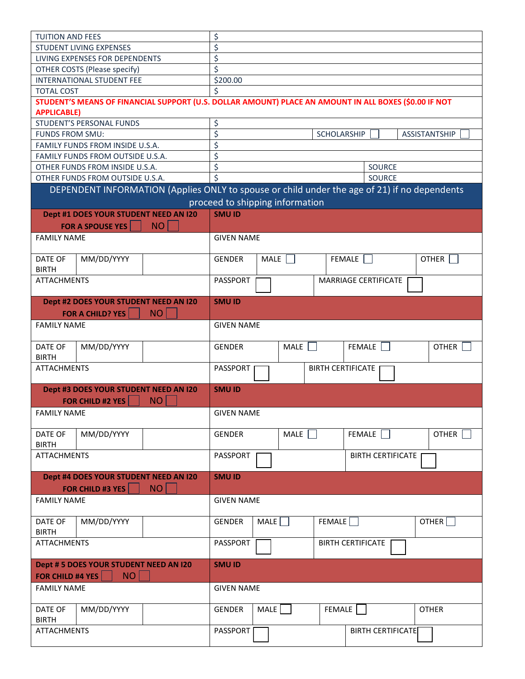| <b>TUITION AND FEES</b>                                                                                                    |                                                                                              |                   | \$                                        |      |             |  |        |                          |  |                    |  |
|----------------------------------------------------------------------------------------------------------------------------|----------------------------------------------------------------------------------------------|-------------------|-------------------------------------------|------|-------------|--|--------|--------------------------|--|--------------------|--|
|                                                                                                                            | <b>STUDENT LIVING EXPENSES</b>                                                               |                   | \$                                        |      |             |  |        |                          |  |                    |  |
|                                                                                                                            | LIVING EXPENSES FOR DEPENDENTS                                                               |                   | \$                                        |      |             |  |        |                          |  |                    |  |
|                                                                                                                            |                                                                                              |                   | \$                                        |      |             |  |        |                          |  |                    |  |
| OTHER COSTS (Please specify)<br>INTERNATIONAL STUDENT FEE                                                                  |                                                                                              |                   |                                           |      |             |  |        |                          |  |                    |  |
|                                                                                                                            |                                                                                              | \$200.00          |                                           |      |             |  |        |                          |  |                    |  |
| <b>TOTAL COST</b><br>STUDENT'S MEANS OF FINANCIAL SUPPORT (U.S. DOLLAR AMOUNT) PLACE AN AMOUNT IN ALL BOXES (\$0.00 IF NOT |                                                                                              |                   |                                           |      |             |  |        |                          |  |                    |  |
|                                                                                                                            |                                                                                              |                   |                                           |      |             |  |        |                          |  |                    |  |
| <b>APPLICABLE)</b>                                                                                                         |                                                                                              |                   |                                           |      |             |  |        |                          |  |                    |  |
| <b>STUDENT'S PERSONAL FUNDS</b>                                                                                            |                                                                                              | \$                |                                           |      |             |  |        |                          |  |                    |  |
| FUNDS FROM SMU:                                                                                                            |                                                                                              |                   | \$<br><b>SCHOLARSHIP</b><br>ASSISTANTSHIP |      |             |  |        |                          |  |                    |  |
| FAMILY FUNDS FROM INSIDE U.S.A.                                                                                            |                                                                                              | \$                |                                           |      |             |  |        |                          |  |                    |  |
| FAMILY FUNDS FROM OUTSIDE U.S.A.                                                                                           |                                                                                              | \$                |                                           |      |             |  |        |                          |  |                    |  |
| OTHER FUNDS FROM INSIDE U.S.A.                                                                                             |                                                                                              | \$<br>SOURCE      |                                           |      |             |  |        |                          |  |                    |  |
|                                                                                                                            | OTHER FUNDS FROM OUTSIDE U.S.A.                                                              |                   | $\overline{\mathsf{S}}$                   |      |             |  |        | SOURCE                   |  |                    |  |
|                                                                                                                            | DEPENDENT INFORMATION (Applies ONLY to spouse or child under the age of 21) if no dependents |                   |                                           |      |             |  |        |                          |  |                    |  |
|                                                                                                                            |                                                                                              |                   | proceed to shipping information           |      |             |  |        |                          |  |                    |  |
|                                                                                                                            | Dept #1 DOES YOUR STUDENT NEED AN I20                                                        |                   | <b>SMU ID</b>                             |      |             |  |        |                          |  |                    |  |
|                                                                                                                            | <b>FOR A SPOUSE YES</b>                                                                      | <b>NO</b>         |                                           |      |             |  |        |                          |  |                    |  |
| <b>FAMILY NAME</b>                                                                                                         |                                                                                              |                   | <b>GIVEN NAME</b>                         |      |             |  |        |                          |  |                    |  |
|                                                                                                                            |                                                                                              |                   |                                           |      |             |  |        |                          |  |                    |  |
| DATE OF                                                                                                                    | MM/DD/YYYY                                                                                   |                   | <b>GENDER</b>                             |      | MALE        |  |        | FEMALE                   |  | <b>OTHER</b>       |  |
| <b>BIRTH</b>                                                                                                               |                                                                                              |                   |                                           |      |             |  |        |                          |  |                    |  |
| <b>ATTACHMENTS</b>                                                                                                         |                                                                                              |                   | <b>PASSPORT</b>                           |      |             |  |        | MARRIAGE CERTIFICATE     |  |                    |  |
|                                                                                                                            |                                                                                              |                   |                                           |      |             |  |        |                          |  |                    |  |
|                                                                                                                            | Dept #2 DOES YOUR STUDENT NEED AN I20                                                        |                   |                                           |      |             |  |        |                          |  |                    |  |
|                                                                                                                            |                                                                                              | NO                | <b>SMU ID</b>                             |      |             |  |        |                          |  |                    |  |
|                                                                                                                            | FOR A CHILD? YES                                                                             |                   |                                           |      |             |  |        |                          |  |                    |  |
| <b>FAMILY NAME</b>                                                                                                         |                                                                                              | <b>GIVEN NAME</b> |                                           |      |             |  |        |                          |  |                    |  |
|                                                                                                                            |                                                                                              |                   |                                           |      |             |  |        |                          |  |                    |  |
| DATE OF                                                                                                                    | MM/DD/YYYY                                                                                   |                   | <b>GENDER</b>                             |      | MALE        |  |        | FEMALE                   |  | OTHER              |  |
| <b>BIRTH</b>                                                                                                               |                                                                                              |                   |                                           |      |             |  |        |                          |  |                    |  |
| <b>ATTACHMENTS</b>                                                                                                         |                                                                                              |                   | PASSPORT<br><b>BIRTH CERTIFICATE</b>      |      |             |  |        |                          |  |                    |  |
|                                                                                                                            |                                                                                              |                   |                                           |      |             |  |        |                          |  |                    |  |
|                                                                                                                            | Dept #3 DOES YOUR STUDENT NEED AN I20                                                        |                   | <b>SMU ID</b>                             |      |             |  |        |                          |  |                    |  |
|                                                                                                                            | <b>FOR CHILD #2 YES</b>                                                                      | <b>NO</b>         |                                           |      |             |  |        |                          |  |                    |  |
| <b>FAMILY NAME</b>                                                                                                         |                                                                                              |                   | <b>GIVEN NAME</b>                         |      |             |  |        |                          |  |                    |  |
|                                                                                                                            |                                                                                              |                   |                                           |      |             |  |        |                          |  |                    |  |
| DATE OF                                                                                                                    | MM/DD/YYYY                                                                                   |                   | <b>GENDER</b>                             |      | MALE $\Box$ |  |        | FEMALE                   |  | <b>OTHER</b>       |  |
| <b>BIRTH</b>                                                                                                               |                                                                                              |                   |                                           |      |             |  |        |                          |  |                    |  |
| <b>ATTACHMENTS</b>                                                                                                         |                                                                                              |                   | PASSPORT<br><b>BIRTH CERTIFICATE</b>      |      |             |  |        |                          |  |                    |  |
|                                                                                                                            |                                                                                              |                   |                                           |      |             |  |        |                          |  |                    |  |
|                                                                                                                            | Dept #4 DOES YOUR STUDENT NEED AN I20                                                        |                   | <b>SMU ID</b>                             |      |             |  |        |                          |  |                    |  |
|                                                                                                                            | FOR CHILD #3 YES                                                                             | NO <sub>1</sub>   |                                           |      |             |  |        |                          |  |                    |  |
| <b>FAMILY NAME</b>                                                                                                         |                                                                                              |                   | <b>GIVEN NAME</b>                         |      |             |  |        |                          |  |                    |  |
|                                                                                                                            |                                                                                              |                   |                                           |      |             |  |        |                          |  |                    |  |
| DATE OF                                                                                                                    | MM/DD/YYYY                                                                                   |                   | GENDER                                    |      | MALE        |  | FEMALE |                          |  | OTHER <sup>[</sup> |  |
| <b>BIRTH</b>                                                                                                               |                                                                                              |                   |                                           |      |             |  |        |                          |  |                    |  |
| <b>ATTACHMENTS</b>                                                                                                         |                                                                                              |                   | PASSPORT                                  |      |             |  |        | <b>BIRTH CERTIFICATE</b> |  |                    |  |
|                                                                                                                            |                                                                                              |                   |                                           |      |             |  |        |                          |  |                    |  |
|                                                                                                                            | Dept # 5 DOES YOUR STUDENT NEED AN I20                                                       |                   | <b>SMU ID</b>                             |      |             |  |        |                          |  |                    |  |
| FOR CHILD #4 YES<br>NO <sub>1</sub>                                                                                        |                                                                                              |                   |                                           |      |             |  |        |                          |  |                    |  |
| <b>FAMILY NAME</b>                                                                                                         |                                                                                              | <b>GIVEN NAME</b> |                                           |      |             |  |        |                          |  |                    |  |
|                                                                                                                            |                                                                                              |                   |                                           |      |             |  |        |                          |  |                    |  |
| DATE OF                                                                                                                    | MM/DD/YYYY                                                                                   |                   | GENDER                                    | MALE |             |  | FEMALE |                          |  | <b>OTHER</b>       |  |
| <b>BIRTH</b>                                                                                                               |                                                                                              |                   |                                           |      |             |  |        |                          |  |                    |  |
| <b>ATTACHMENTS</b>                                                                                                         |                                                                                              |                   | PASSPORT                                  |      |             |  |        | <b>BIRTH CERTIFICATE</b> |  |                    |  |
|                                                                                                                            |                                                                                              |                   |                                           |      |             |  |        |                          |  |                    |  |